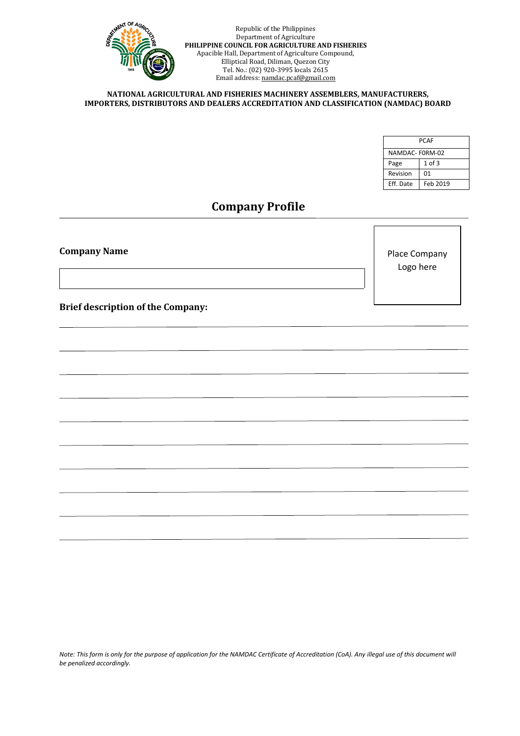

#### **NATIONAL AGRICULTURAL AND FISHERIES MACHINERY ASSEMBLERS, MANUFACTURERS, IMPORTERS, DISTRIBUTORS AND DEALERS ACCREDITATION AND CLASSIFICATION (NAMDAC) BOARD**

| <b>PCAF</b>    |            |  |  |  |  |  |
|----------------|------------|--|--|--|--|--|
| NAMDAC-F0RM-02 |            |  |  |  |  |  |
| Page           | $1$ of $3$ |  |  |  |  |  |
| Revision       | 01         |  |  |  |  |  |
| Eff. Date      | Feb 2019   |  |  |  |  |  |

# **Company Profile**

**Company Name**

Place Company Logo here

**Brief description of the Company:**

*Note: This form is only for the purpose of application for the NAMDAC Certificate of Accreditation (CoA). Any illegal use of this document will be penalized accordingly.*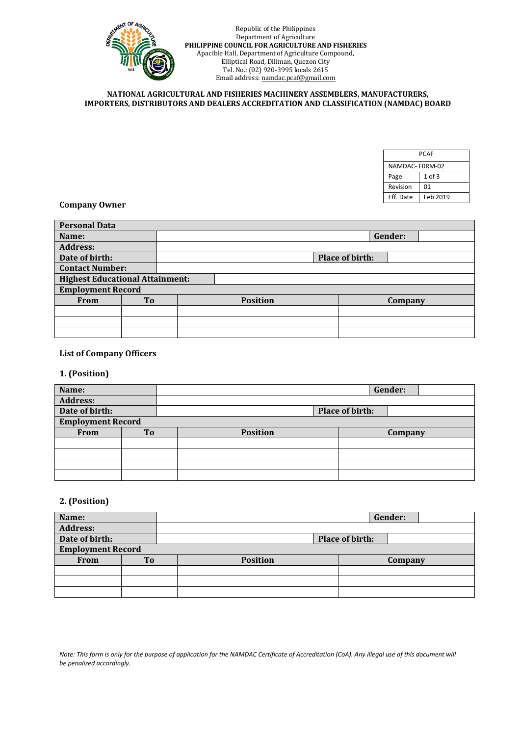

### **NATIONAL AGRICULTURAL AND FISHERIES MACHINERY ASSEMBLERS, MANUFACTURERS, IMPORTERS, DISTRIBUTORS AND DEALERS ACCREDITATION AND CLASSIFICATION (NAMDAC) BOARD**

| <b>PCAF</b>    |            |  |  |  |  |  |
|----------------|------------|--|--|--|--|--|
| NAMDAC-F0RM-02 |            |  |  |  |  |  |
| Page           | $1$ of $3$ |  |  |  |  |  |
| Revision       | 01         |  |  |  |  |  |
| Eff. Date      | Feb 2019   |  |  |  |  |  |

## **Company Owner**

| <b>Personal Data</b>                   |                |  |                 |  |                 |         |  |
|----------------------------------------|----------------|--|-----------------|--|-----------------|---------|--|
| Name:                                  |                |  |                 |  |                 | Gender: |  |
| <b>Address:</b>                        |                |  |                 |  |                 |         |  |
| Date of birth:                         |                |  |                 |  | Place of birth: |         |  |
| <b>Contact Number:</b>                 |                |  |                 |  |                 |         |  |
| <b>Highest Educational Attainment:</b> |                |  |                 |  |                 |         |  |
| <b>Employment Record</b>               |                |  |                 |  |                 |         |  |
| <b>From</b>                            | T <sub>o</sub> |  | <b>Position</b> |  |                 | Company |  |
|                                        |                |  |                 |  |                 |         |  |
|                                        |                |  |                 |  |                 |         |  |
|                                        |                |  |                 |  |                 |         |  |

# **List of Company Officers**

# **1. (Position)**

| Name:                    |    | Gender: |                 |         |                 |  |  |
|--------------------------|----|---------|-----------------|---------|-----------------|--|--|
| <b>Address:</b>          |    |         |                 |         |                 |  |  |
| Date of birth:           |    |         |                 |         | Place of birth: |  |  |
| <b>Employment Record</b> |    |         |                 |         |                 |  |  |
| <b>From</b>              | To |         | <b>Position</b> | Company |                 |  |  |
|                          |    |         |                 |         |                 |  |  |
|                          |    |         |                 |         |                 |  |  |
|                          |    |         |                 |         |                 |  |  |
|                          |    |         |                 |         |                 |  |  |

# **2. (Position)**

| Name:                    |           |                 |                 | Gender: |  |
|--------------------------|-----------|-----------------|-----------------|---------|--|
| <b>Address:</b>          |           |                 |                 |         |  |
| Date of birth:           |           |                 | Place of birth: |         |  |
| <b>Employment Record</b> |           |                 |                 |         |  |
| <b>From</b>              | <b>To</b> | <b>Position</b> |                 | Company |  |
|                          |           |                 |                 |         |  |
|                          |           |                 |                 |         |  |
|                          |           |                 |                 |         |  |

*Note: This form is only for the purpose of application for the NAMDAC Certificate of Accreditation (CoA). Any illegal use of this document will be penalized accordingly.*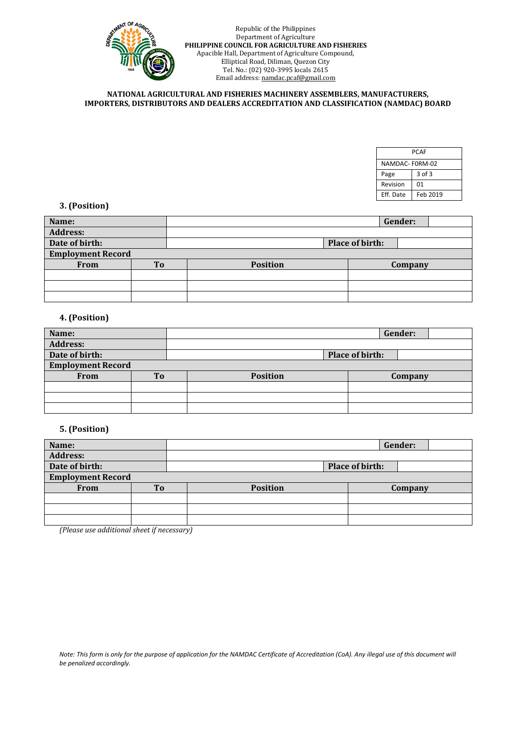

### **NATIONAL AGRICULTURAL AND FISHERIES MACHINERY ASSEMBLERS, MANUFACTURERS, IMPORTERS, DISTRIBUTORS AND DEALERS ACCREDITATION AND CLASSIFICATION (NAMDAC) BOARD**

| <b>PCAF</b>    |            |  |  |  |  |  |
|----------------|------------|--|--|--|--|--|
| NAMDAC-F0RM-02 |            |  |  |  |  |  |
| Page           | $3$ of $3$ |  |  |  |  |  |
| Revision       | 01         |  |  |  |  |  |
| Eff. Date      | Feb 2019   |  |  |  |  |  |

# **3. (Position)**

| Name:                    |     |                 |                 | Gender: |
|--------------------------|-----|-----------------|-----------------|---------|
| <b>Address:</b>          |     |                 |                 |         |
| Date of birth:           |     |                 | Place of birth: |         |
| <b>Employment Record</b> |     |                 |                 |         |
| <b>From</b>              | To. | <b>Position</b> |                 | Company |
|                          |     |                 |                 |         |
|                          |     |                 |                 |         |
|                          |     |                 |                 |         |

# **4. (Position)**

| Name:                    |           |                 |                 | Gender: |
|--------------------------|-----------|-----------------|-----------------|---------|
| <b>Address:</b>          |           |                 |                 |         |
| Date of birth:           |           |                 | Place of birth: |         |
| <b>Employment Record</b> |           |                 |                 |         |
| <b>From</b>              | <b>To</b> | <b>Position</b> |                 | Company |
|                          |           |                 |                 |         |
|                          |           |                 |                 |         |
|                          |           |                 |                 |         |

## **5. (Position)**

| Name:                    |                |                 |                 | Gender: |  |
|--------------------------|----------------|-----------------|-----------------|---------|--|
| <b>Address:</b>          |                |                 |                 |         |  |
| Date of birth:           |                |                 | Place of birth: |         |  |
| <b>Employment Record</b> |                |                 |                 |         |  |
| From                     | T <sub>0</sub> | <b>Position</b> |                 | Company |  |
|                          |                |                 |                 |         |  |
|                          |                |                 |                 |         |  |
|                          |                |                 |                 |         |  |

*(Please use additional sheet if necessary)*